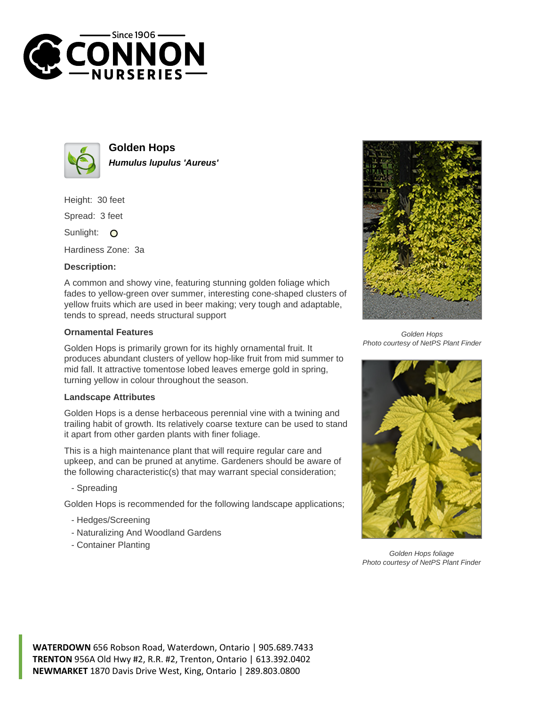



**Golden Hops Humulus lupulus 'Aureus'**

Height: 30 feet

Spread: 3 feet

Sunlight: O

Hardiness Zone: 3a

## **Description:**

A common and showy vine, featuring stunning golden foliage which fades to yellow-green over summer, interesting cone-shaped clusters of yellow fruits which are used in beer making; very tough and adaptable, tends to spread, needs structural support

## **Ornamental Features**

Golden Hops is primarily grown for its highly ornamental fruit. It produces abundant clusters of yellow hop-like fruit from mid summer to mid fall. It attractive tomentose lobed leaves emerge gold in spring, turning yellow in colour throughout the season.

## **Landscape Attributes**

Golden Hops is a dense herbaceous perennial vine with a twining and trailing habit of growth. Its relatively coarse texture can be used to stand it apart from other garden plants with finer foliage.

This is a high maintenance plant that will require regular care and upkeep, and can be pruned at anytime. Gardeners should be aware of the following characteristic(s) that may warrant special consideration;

- Spreading

Golden Hops is recommended for the following landscape applications;

- Hedges/Screening
- Naturalizing And Woodland Gardens
- Container Planting



Golden Hops Photo courtesy of NetPS Plant Finder



Golden Hops foliage Photo courtesy of NetPS Plant Finder